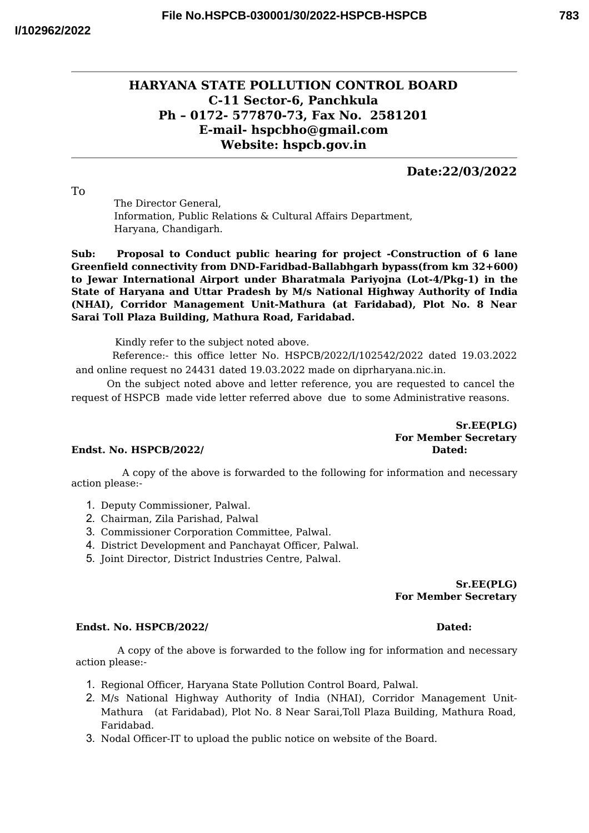# **783**

# **HARYANA STATE POLLUTION CONTROL BOARD C-11 Sector-6, Panchkula Ph – 0172- 577870-73, Fax No. 2581201 E-mail- hspcbho@gmail.com Website: hspcb.gov.in**

## **Date:22/03/2022**

To

The Director General, Information, Public Relations & Cultural Affairs Department, Haryana, Chandigarh.

**Sub: Proposal to Conduct public hearing for project -Construction of 6 lane Greenfield connectivity from DND-Faridbad-Ballabhgarh bypass(from km 32+600) to Jewar International Airport under Bharatmala Pariyojna (Lot-4/Pkg-1) in the State of Haryana and Uttar Pradesh by M/s National Highway Authority of India (NHAI), Corridor Management Unit-Mathura (at Faridabad), Plot No. 8 Near Sarai Toll Plaza Building, Mathura Road, Faridabad.**

Kindly refer to the subject noted above.

Reference:- this office letter No. HSPCB/2022/I/102542/2022 dated 19.03.2022 and online request no 24431 dated 19.03.2022 made on diprharyana.nic.in.

On the subject noted above and letter reference, you are requested to cancel the request of HSPCB made vide letter referred above due to some Administrative reasons.

> **Sr.EE(PLG) For Member Secretary**

### **Endst. No. HSPCB/2022/ Dated:**

A copy of the above is forwarded to the following for information and necessary action please:-

- 1. Deputy Commissioner, Palwal.
- 2. Chairman, Zila Parishad, Palwal
- 3. Commissioner Corporation Committee, Palwal.
- 4. District Development and Panchayat Officer, Palwal.
- 5. Joint Director, District Industries Centre, Palwal.

**Sr.EE(PLG) For Member Secretary**

### **Endst. No. HSPCB/2022/ Dated:**

A copy of the above is forwarded to the follow ing for information and necessary action please:-

- 1. Regional Officer, Haryana State Pollution Control Board, Palwal.
- 2. M/s National Highway Authority of India (NHAI), Corridor Management Unit-Mathura (at Faridabad), Plot No. 8 Near Sarai,Toll Plaza Building, Mathura Road, Faridabad.
- 3. Nodal Officer-IT to upload the public notice on website of the Board.